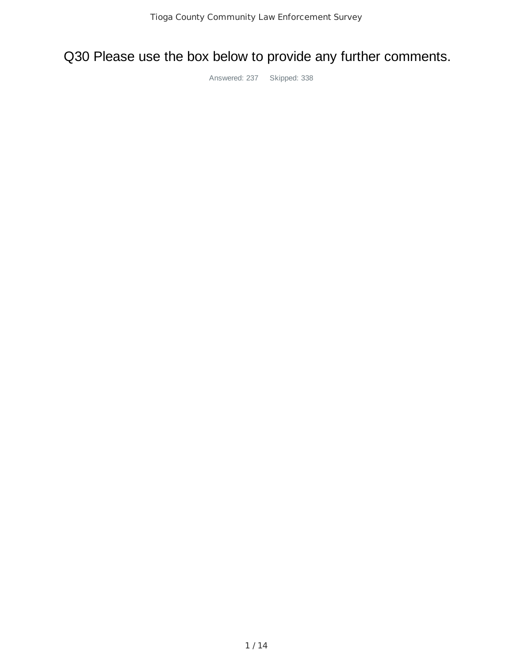# Q30 Please use the box below to provide any further comments.

Answered: 237 Skipped: 338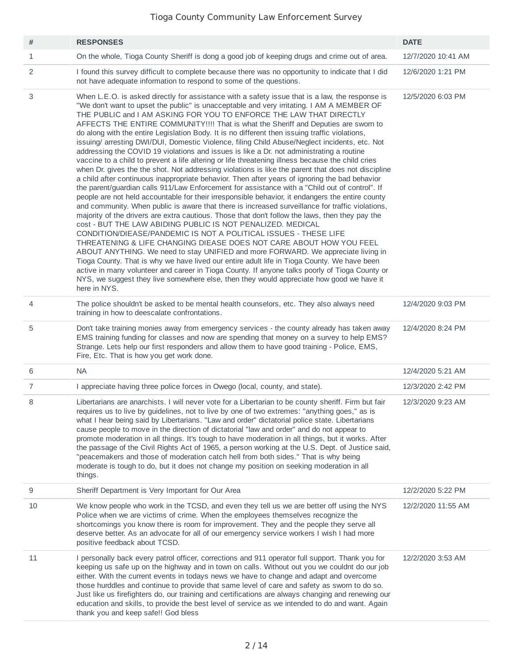| #              | <b>RESPONSES</b>                                                                                                                                                                                                                                                                                                                                                                                                                                                                                                                                                                                                                                                                                                                                                                                                                                                                                                                                                                                                                                                                                                                                                                                                                                                                                                                                                                                                                                                                                                                                                                                                                                                                                                                                                                                                                                                                                                                                                                                | <b>DATE</b>        |
|----------------|-------------------------------------------------------------------------------------------------------------------------------------------------------------------------------------------------------------------------------------------------------------------------------------------------------------------------------------------------------------------------------------------------------------------------------------------------------------------------------------------------------------------------------------------------------------------------------------------------------------------------------------------------------------------------------------------------------------------------------------------------------------------------------------------------------------------------------------------------------------------------------------------------------------------------------------------------------------------------------------------------------------------------------------------------------------------------------------------------------------------------------------------------------------------------------------------------------------------------------------------------------------------------------------------------------------------------------------------------------------------------------------------------------------------------------------------------------------------------------------------------------------------------------------------------------------------------------------------------------------------------------------------------------------------------------------------------------------------------------------------------------------------------------------------------------------------------------------------------------------------------------------------------------------------------------------------------------------------------------------------------|--------------------|
| 1              | On the whole, Tioga County Sheriff is dong a good job of keeping drugs and crime out of area.                                                                                                                                                                                                                                                                                                                                                                                                                                                                                                                                                                                                                                                                                                                                                                                                                                                                                                                                                                                                                                                                                                                                                                                                                                                                                                                                                                                                                                                                                                                                                                                                                                                                                                                                                                                                                                                                                                   | 12/7/2020 10:41 AM |
| 2              | I found this survey difficult to complete because there was no opportunity to indicate that I did<br>not have adequate information to respond to some of the questions.                                                                                                                                                                                                                                                                                                                                                                                                                                                                                                                                                                                                                                                                                                                                                                                                                                                                                                                                                                                                                                                                                                                                                                                                                                                                                                                                                                                                                                                                                                                                                                                                                                                                                                                                                                                                                         | 12/6/2020 1:21 PM  |
| 3              | When L.E.O. is asked directly for assistance with a safety issue that is a law, the response is<br>"We don't want to upset the public" is unacceptable and very irritating. I AM A MEMBER OF<br>THE PUBLIC and I AM ASKING FOR YOU TO ENFORCE THE LAW THAT DIRECTLY<br>AFFECTS THE ENTIRE COMMUNITY!!!! That is what the Sheriff and Deputies are sworn to<br>do along with the entire Legislation Body. It is no different then issuing traffic violations,<br>issuing/ arresting DWI/DUI, Domestic Violence, filing Child Abuse/Neglect incidents, etc. Not<br>addressing the COVID 19 violations and issues is like a Dr. not administrating a routine<br>vaccine to a child to prevent a life altering or life threatening illness because the child cries<br>when Dr. gives the the shot. Not addressing violations is like the parent that does not discipline<br>a child after continuous inappropriate behavior. Then after years of ignoring the bad behavior<br>the parent/guardian calls 911/Law Enforcement for assistance with a "Child out of control". If<br>people are not held accountable for their irresponsible behavior, it endangers the entire county<br>and community. When public is aware that there is increased surveillance for traffic violations,<br>majority of the drivers are extra cautious. Those that don't follow the laws, then they pay the<br>cost - BUT THE LAW ABIDING PUBLIC IS NOT PENALIZED. MEDICAL<br>CONDITION/DIEASE/PANDEMIC IS NOT A POLITICAL ISSUES - THESE LIFE<br>THREATENING & LIFE CHANGING DIEASE DOES NOT CARE ABOUT HOW YOU FEEL<br>ABOUT ANYTHING. We need to stay UNIFIED and more FORWARD. We appreciate living in<br>Tioga County. That is why we have lived our entire adult life in Tioga County. We have been<br>active in many volunteer and career in Tioga County. If anyone talks poorly of Tioga County or<br>NYS, we suggest they live somewhere else, then they would appreciate how good we have it<br>here in NYS. | 12/5/2020 6:03 PM  |
| 4              | The police shouldn't be asked to be mental health counselors, etc. They also always need<br>training in how to deescalate confrontations.                                                                                                                                                                                                                                                                                                                                                                                                                                                                                                                                                                                                                                                                                                                                                                                                                                                                                                                                                                                                                                                                                                                                                                                                                                                                                                                                                                                                                                                                                                                                                                                                                                                                                                                                                                                                                                                       | 12/4/2020 9:03 PM  |
| 5              | Don't take training monies away from emergency services - the county already has taken away<br>EMS training funding for classes and now are spending that money on a survey to help EMS?<br>Strange. Lets help our first responders and allow them to have good training - Police, EMS,<br>Fire, Etc. That is how you get work done.                                                                                                                                                                                                                                                                                                                                                                                                                                                                                                                                                                                                                                                                                                                                                                                                                                                                                                                                                                                                                                                                                                                                                                                                                                                                                                                                                                                                                                                                                                                                                                                                                                                            | 12/4/2020 8:24 PM  |
| 6              | <b>NA</b>                                                                                                                                                                                                                                                                                                                                                                                                                                                                                                                                                                                                                                                                                                                                                                                                                                                                                                                                                                                                                                                                                                                                                                                                                                                                                                                                                                                                                                                                                                                                                                                                                                                                                                                                                                                                                                                                                                                                                                                       | 12/4/2020 5:21 AM  |
| $\overline{7}$ | I appreciate having three police forces in Owego (local, county, and state).                                                                                                                                                                                                                                                                                                                                                                                                                                                                                                                                                                                                                                                                                                                                                                                                                                                                                                                                                                                                                                                                                                                                                                                                                                                                                                                                                                                                                                                                                                                                                                                                                                                                                                                                                                                                                                                                                                                    | 12/3/2020 2:42 PM  |
| 8              | Libertarians are anarchists. I will never vote for a Libertarian to be county sheriff. Firm but fair<br>requires us to live by guidelines, not to live by one of two extremes: "anything goes," as is<br>what I hear being said by Libertarians. "Law and order" dictatorial police state. Libertarians<br>cause people to move in the direction of dictatorial "law and order" and do not appear to<br>promote moderation in all things. It's tough to have moderation in all things, but it works. After<br>the passage of the Civil Rights Act of 1965, a person working at the U.S. Dept. of Justice said,<br>"peacemakers and those of moderation catch hell from both sides." That is why being<br>moderate is tough to do, but it does not change my position on seeking moderation in all<br>things.                                                                                                                                                                                                                                                                                                                                                                                                                                                                                                                                                                                                                                                                                                                                                                                                                                                                                                                                                                                                                                                                                                                                                                                    | 12/3/2020 9:23 AM  |
| 9              | Sheriff Department is Very Important for Our Area                                                                                                                                                                                                                                                                                                                                                                                                                                                                                                                                                                                                                                                                                                                                                                                                                                                                                                                                                                                                                                                                                                                                                                                                                                                                                                                                                                                                                                                                                                                                                                                                                                                                                                                                                                                                                                                                                                                                               | 12/2/2020 5:22 PM  |
| 10             | We know people who work in the TCSD, and even they tell us we are better off using the NYS<br>Police when we are victims of crime. When the employees themselves recognize the<br>shortcomings you know there is room for improvement. They and the people they serve all<br>deserve better. As an advocate for all of our emergency service workers I wish I had more<br>positive feedback about TCSD.                                                                                                                                                                                                                                                                                                                                                                                                                                                                                                                                                                                                                                                                                                                                                                                                                                                                                                                                                                                                                                                                                                                                                                                                                                                                                                                                                                                                                                                                                                                                                                                         | 12/2/2020 11:55 AM |
| 11             | I personally back every patrol officer, corrections and 911 operator full support. Thank you for<br>keeping us safe up on the highway and in town on calls. Without out you we couldnt do our job<br>either. With the current events in todays news we have to change and adapt and overcome<br>those hurddles and continue to provide that same level of care and safety as sworn to do so.<br>Just like us firefighters do, our training and certifications are always changing and renewing our<br>education and skills, to provide the best level of service as we intended to do and want. Again<br>thank you and keep safe!! God bless                                                                                                                                                                                                                                                                                                                                                                                                                                                                                                                                                                                                                                                                                                                                                                                                                                                                                                                                                                                                                                                                                                                                                                                                                                                                                                                                                    | 12/2/2020 3:53 AM  |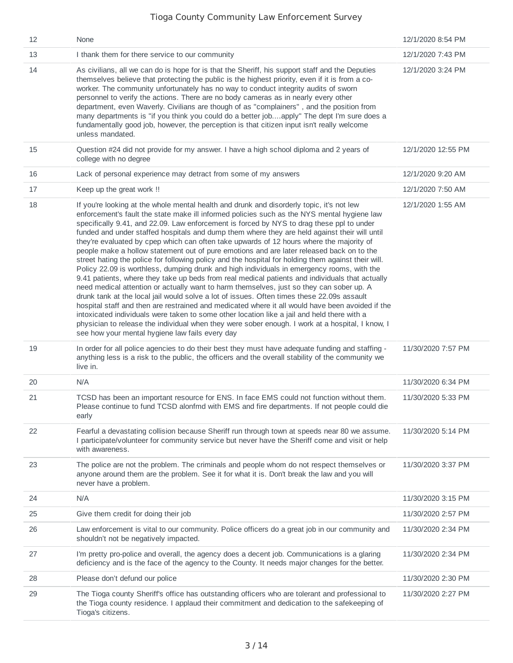| 12 | None                                                                                                                                                                                                                                                                                                                                                                                                                                                                                                                                                                                                                                                                                                                                                                                                                                                                                                                                                                                                                                                                                                                                                                                                                                                                                                                                                                                                                                        | 12/1/2020 8:54 PM  |
|----|---------------------------------------------------------------------------------------------------------------------------------------------------------------------------------------------------------------------------------------------------------------------------------------------------------------------------------------------------------------------------------------------------------------------------------------------------------------------------------------------------------------------------------------------------------------------------------------------------------------------------------------------------------------------------------------------------------------------------------------------------------------------------------------------------------------------------------------------------------------------------------------------------------------------------------------------------------------------------------------------------------------------------------------------------------------------------------------------------------------------------------------------------------------------------------------------------------------------------------------------------------------------------------------------------------------------------------------------------------------------------------------------------------------------------------------------|--------------------|
| 13 | I thank them for there service to our community                                                                                                                                                                                                                                                                                                                                                                                                                                                                                                                                                                                                                                                                                                                                                                                                                                                                                                                                                                                                                                                                                                                                                                                                                                                                                                                                                                                             | 12/1/2020 7:43 PM  |
| 14 | As civilians, all we can do is hope for is that the Sheriff, his support staff and the Deputies<br>themselves believe that protecting the public is the highest priority, even if it is from a co-<br>worker. The community unfortunately has no way to conduct integrity audits of sworn<br>personnel to verify the actions. There are no body cameras as in nearly every other<br>department, even Waverly. Civilians are though of as "complainers", and the position from<br>many departments is "if you think you could do a better jobapply" The dept I'm sure does a<br>fundamentally good job, however, the perception is that citizen input isn't really welcome<br>unless mandated.                                                                                                                                                                                                                                                                                                                                                                                                                                                                                                                                                                                                                                                                                                                                               | 12/1/2020 3:24 PM  |
| 15 | Question #24 did not provide for my answer. I have a high school diploma and 2 years of<br>college with no degree                                                                                                                                                                                                                                                                                                                                                                                                                                                                                                                                                                                                                                                                                                                                                                                                                                                                                                                                                                                                                                                                                                                                                                                                                                                                                                                           | 12/1/2020 12:55 PM |
| 16 | Lack of personal experience may detract from some of my answers                                                                                                                                                                                                                                                                                                                                                                                                                                                                                                                                                                                                                                                                                                                                                                                                                                                                                                                                                                                                                                                                                                                                                                                                                                                                                                                                                                             | 12/1/2020 9:20 AM  |
| 17 | Keep up the great work !!                                                                                                                                                                                                                                                                                                                                                                                                                                                                                                                                                                                                                                                                                                                                                                                                                                                                                                                                                                                                                                                                                                                                                                                                                                                                                                                                                                                                                   | 12/1/2020 7:50 AM  |
| 18 | If you're looking at the whole mental health and drunk and disorderly topic, it's not lew<br>enforcement's fault the state make ill informed policies such as the NYS mental hygiene law<br>specifically 9.41, and 22.09. Law enforcement is forced by NYS to drag these ppl to under<br>funded and under staffed hospitals and dump them where they are held against their will until<br>they're evaluated by cpep which can often take upwards of 12 hours where the majority of<br>people make a hollow statement out of pure emotions and are later released back on to the<br>street hating the police for following policy and the hospital for holding them against their will.<br>Policy 22.09 is worthless, dumping drunk and high individuals in emergency rooms, with the<br>9.41 patients, where they take up beds from real medical patients and individuals that actually<br>need medical attention or actually want to harm themselves, just so they can sober up. A<br>drunk tank at the local jail would solve a lot of issues. Often times these 22.09s assault<br>hospital staff and then are restrained and medicated where it all would have been avoided if the<br>intoxicated individuals were taken to some other location like a jail and held there with a<br>physician to release the individual when they were sober enough. I work at a hospital, I know, I<br>see how your mental hygiene law fails every day | 12/1/2020 1:55 AM  |
| 19 | In order for all police agencies to do their best they must have adequate funding and staffing -<br>anything less is a risk to the public, the officers and the overall stability of the community we<br>live in.                                                                                                                                                                                                                                                                                                                                                                                                                                                                                                                                                                                                                                                                                                                                                                                                                                                                                                                                                                                                                                                                                                                                                                                                                           | 11/30/2020 7:57 PM |
| 20 | N/A                                                                                                                                                                                                                                                                                                                                                                                                                                                                                                                                                                                                                                                                                                                                                                                                                                                                                                                                                                                                                                                                                                                                                                                                                                                                                                                                                                                                                                         | 11/30/2020 6:34 PM |
| 21 | TCSD has been an important resource for ENS. In face EMS could not function without them.<br>Please continue to fund TCSD alonfmd with EMS and fire departments. If not people could die<br>early                                                                                                                                                                                                                                                                                                                                                                                                                                                                                                                                                                                                                                                                                                                                                                                                                                                                                                                                                                                                                                                                                                                                                                                                                                           | 11/30/2020 5:33 PM |
| 22 | Fearful a devastating collision because Sheriff run through town at speeds near 80 we assume.<br>I participate/volunteer for community service but never have the Sheriff come and visit or help<br>with awareness.                                                                                                                                                                                                                                                                                                                                                                                                                                                                                                                                                                                                                                                                                                                                                                                                                                                                                                                                                                                                                                                                                                                                                                                                                         | 11/30/2020 5:14 PM |
| 23 | The police are not the problem. The criminals and people whom do not respect themselves or<br>anyone around them are the problem. See it for what it is. Don't break the law and you will<br>never have a problem.                                                                                                                                                                                                                                                                                                                                                                                                                                                                                                                                                                                                                                                                                                                                                                                                                                                                                                                                                                                                                                                                                                                                                                                                                          | 11/30/2020 3:37 PM |
| 24 | N/A                                                                                                                                                                                                                                                                                                                                                                                                                                                                                                                                                                                                                                                                                                                                                                                                                                                                                                                                                                                                                                                                                                                                                                                                                                                                                                                                                                                                                                         | 11/30/2020 3:15 PM |
| 25 | Give them credit for doing their job                                                                                                                                                                                                                                                                                                                                                                                                                                                                                                                                                                                                                                                                                                                                                                                                                                                                                                                                                                                                                                                                                                                                                                                                                                                                                                                                                                                                        | 11/30/2020 2:57 PM |
| 26 | Law enforcement is vital to our community. Police officers do a great job in our community and<br>shouldn't not be negatively impacted.                                                                                                                                                                                                                                                                                                                                                                                                                                                                                                                                                                                                                                                                                                                                                                                                                                                                                                                                                                                                                                                                                                                                                                                                                                                                                                     | 11/30/2020 2:34 PM |
| 27 | I'm pretty pro-police and overall, the agency does a decent job. Communications is a glaring<br>deficiency and is the face of the agency to the County. It needs major changes for the better.                                                                                                                                                                                                                                                                                                                                                                                                                                                                                                                                                                                                                                                                                                                                                                                                                                                                                                                                                                                                                                                                                                                                                                                                                                              | 11/30/2020 2:34 PM |
| 28 | Please don't defund our police                                                                                                                                                                                                                                                                                                                                                                                                                                                                                                                                                                                                                                                                                                                                                                                                                                                                                                                                                                                                                                                                                                                                                                                                                                                                                                                                                                                                              | 11/30/2020 2:30 PM |
| 29 | The Tioga county Sheriff's office has outstanding officers who are tolerant and professional to<br>the Tioga county residence. I applaud their commitment and dedication to the safekeeping of<br>Tioga's citizens.                                                                                                                                                                                                                                                                                                                                                                                                                                                                                                                                                                                                                                                                                                                                                                                                                                                                                                                                                                                                                                                                                                                                                                                                                         | 11/30/2020 2:27 PM |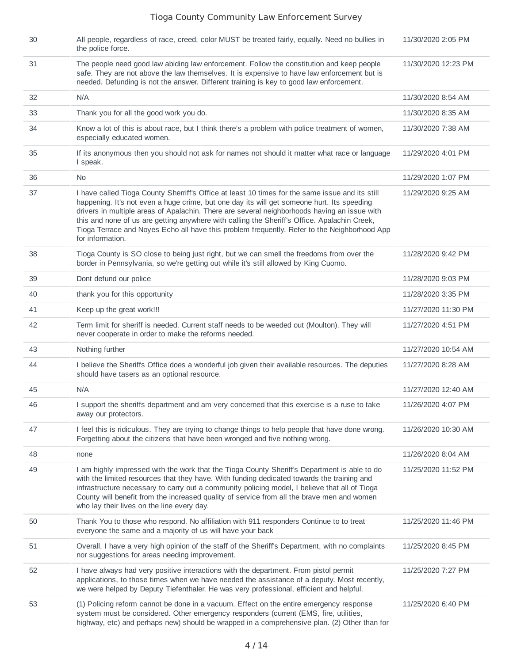| 30 | All people, regardless of race, creed, color MUST be treated fairly, equally. Need no bullies in<br>the police force.                                                                                                                                                                                                                                                                                                                                                                                             | 11/30/2020 2:05 PM  |
|----|-------------------------------------------------------------------------------------------------------------------------------------------------------------------------------------------------------------------------------------------------------------------------------------------------------------------------------------------------------------------------------------------------------------------------------------------------------------------------------------------------------------------|---------------------|
| 31 | The people need good law abiding law enforcement. Follow the constitution and keep people<br>safe. They are not above the law themselves. It is expensive to have law enforcement but is<br>needed. Defunding is not the answer. Different training is key to good law enforcement.                                                                                                                                                                                                                               | 11/30/2020 12:23 PM |
| 32 | N/A                                                                                                                                                                                                                                                                                                                                                                                                                                                                                                               | 11/30/2020 8:54 AM  |
| 33 | Thank you for all the good work you do.                                                                                                                                                                                                                                                                                                                                                                                                                                                                           | 11/30/2020 8:35 AM  |
| 34 | Know a lot of this is about race, but I think there's a problem with police treatment of women,<br>especially educated women.                                                                                                                                                                                                                                                                                                                                                                                     | 11/30/2020 7:38 AM  |
| 35 | If its anonymous then you should not ask for names not should it matter what race or language<br>I speak.                                                                                                                                                                                                                                                                                                                                                                                                         | 11/29/2020 4:01 PM  |
| 36 | No.                                                                                                                                                                                                                                                                                                                                                                                                                                                                                                               | 11/29/2020 1:07 PM  |
| 37 | I have called Tioga County Sherriff's Office at least 10 times for the same issue and its still<br>happening. It's not even a huge crime, but one day its will get someone hurt. Its speeding<br>drivers in multiple areas of Apalachin. There are several neighborhoods having an issue with<br>this and none of us are getting anywhere with calling the Sheriff's Office. Apalachin Creek,<br>Tioga Terrace and Noyes Echo all have this problem frequently. Refer to the Neighborhood App<br>for information. | 11/29/2020 9:25 AM  |
| 38 | Tioga County is SO close to being just right, but we can smell the freedoms from over the<br>border in Pennsylvania, so we're getting out while it's still allowed by King Cuomo.                                                                                                                                                                                                                                                                                                                                 | 11/28/2020 9:42 PM  |
| 39 | Dont defund our police                                                                                                                                                                                                                                                                                                                                                                                                                                                                                            | 11/28/2020 9:03 PM  |
| 40 | thank you for this opportunity                                                                                                                                                                                                                                                                                                                                                                                                                                                                                    | 11/28/2020 3:35 PM  |
| 41 | Keep up the great work!!!                                                                                                                                                                                                                                                                                                                                                                                                                                                                                         | 11/27/2020 11:30 PM |
| 42 | Term limit for sheriff is needed. Current staff needs to be weeded out (Moulton). They will<br>never cooperate in order to make the reforms needed.                                                                                                                                                                                                                                                                                                                                                               | 11/27/2020 4:51 PM  |
| 43 | Nothing further                                                                                                                                                                                                                                                                                                                                                                                                                                                                                                   | 11/27/2020 10:54 AM |
| 44 | I believe the Sheriffs Office does a wonderful job given their available resources. The deputies<br>should have tasers as an optional resource.                                                                                                                                                                                                                                                                                                                                                                   | 11/27/2020 8:28 AM  |
| 45 | N/A                                                                                                                                                                                                                                                                                                                                                                                                                                                                                                               | 11/27/2020 12:40 AM |
| 46 | I support the sheriffs department and am very concerned that this exercise is a ruse to take<br>away our protectors.                                                                                                                                                                                                                                                                                                                                                                                              | 11/26/2020 4:07 PM  |
| 47 | I feel this is ridiculous. They are trying to change things to help people that have done wrong.<br>Forgetting about the citizens that have been wronged and five nothing wrong.                                                                                                                                                                                                                                                                                                                                  | 11/26/2020 10:30 AM |
| 48 | none                                                                                                                                                                                                                                                                                                                                                                                                                                                                                                              | 11/26/2020 8:04 AM  |
| 49 | I am highly impressed with the work that the Tioga County Sheriff's Department is able to do<br>with the limited resources that they have. With funding dedicated towards the training and<br>infrastructure necessary to carry out a community policing model, I believe that all of Tioga<br>County will benefit from the increased quality of service from all the brave men and women<br>who lay their lives on the line every day.                                                                           | 11/25/2020 11:52 PM |
| 50 | Thank You to those who respond. No affiliation with 911 responders Continue to to treat<br>everyone the same and a majority of us will have your back                                                                                                                                                                                                                                                                                                                                                             | 11/25/2020 11:46 PM |
| 51 | Overall, I have a very high opinion of the staff of the Sheriff's Department, with no complaints<br>nor suggestions for areas needing improvement.                                                                                                                                                                                                                                                                                                                                                                | 11/25/2020 8:45 PM  |
| 52 | I have always had very positive interactions with the department. From pistol permit<br>applications, to those times when we have needed the assistance of a deputy. Most recently,<br>we were helped by Deputy Tiefenthaler. He was very professional, efficient and helpful.                                                                                                                                                                                                                                    | 11/25/2020 7:27 PM  |
| 53 | (1) Policing reform cannot be done in a vacuum. Effect on the entire emergency response<br>system must be considered. Other emergency responders (current (EMS, fire, utilities,<br>highway, etc) and perhaps new) should be wrapped in a comprehensive plan. (2) Other than for                                                                                                                                                                                                                                  | 11/25/2020 6:40 PM  |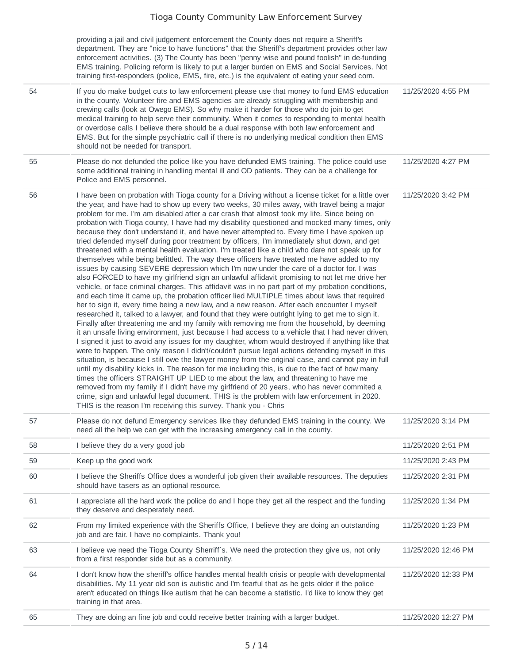providing a jail and civil judgement enforcement the County does not require a Sheriff's department. They are "nice to have functions" that the Sheriff's department provides other law enforcement activities. (3) The County has been "penny wise and pound foolish" in de-funding EMS training. Policing reform is likely to put a larger burden on EMS and Social Services. Not training first-responders (police, EMS, fire, etc.) is the equivalent of eating your seed corn.

|    | training first-responders (police, EMS, fire, etc.) is the equivalent of eating your seed corn.                                                                                                                                                                                                                                                                                                                                                                                                                                                                                                                                                                                                                                                                                                                                                                                                                                                                                                                                                                                                                                                                                                                                                                                                                                                                                                                                                                                                                                                                                                                                                                                                                                                                                                                                                                                                                                                                                                                                                                                                                                                                                                                                                                                                                                                                          |                     |
|----|--------------------------------------------------------------------------------------------------------------------------------------------------------------------------------------------------------------------------------------------------------------------------------------------------------------------------------------------------------------------------------------------------------------------------------------------------------------------------------------------------------------------------------------------------------------------------------------------------------------------------------------------------------------------------------------------------------------------------------------------------------------------------------------------------------------------------------------------------------------------------------------------------------------------------------------------------------------------------------------------------------------------------------------------------------------------------------------------------------------------------------------------------------------------------------------------------------------------------------------------------------------------------------------------------------------------------------------------------------------------------------------------------------------------------------------------------------------------------------------------------------------------------------------------------------------------------------------------------------------------------------------------------------------------------------------------------------------------------------------------------------------------------------------------------------------------------------------------------------------------------------------------------------------------------------------------------------------------------------------------------------------------------------------------------------------------------------------------------------------------------------------------------------------------------------------------------------------------------------------------------------------------------------------------------------------------------------------------------------------------------|---------------------|
| 54 | If you do make budget cuts to law enforcement please use that money to fund EMS education<br>in the county. Volunteer fire and EMS agencies are already struggling with membership and<br>crewing calls (look at Owego EMS). So why make it harder for those who do join to get<br>medical training to help serve their community. When it comes to responding to mental health<br>or overdose calls I believe there should be a dual response with both law enforcement and<br>EMS. But for the simple psychiatric call if there is no underlying medical condition then EMS<br>should not be needed for transport.                                                                                                                                                                                                                                                                                                                                                                                                                                                                                                                                                                                                                                                                                                                                                                                                                                                                                                                                                                                                                                                                                                                                                                                                                                                                                                                                                                                                                                                                                                                                                                                                                                                                                                                                                     | 11/25/2020 4:55 PM  |
| 55 | Please do not defunded the police like you have defunded EMS training. The police could use<br>some additional training in handling mental ill and OD patients. They can be a challenge for<br>Police and EMS personnel.                                                                                                                                                                                                                                                                                                                                                                                                                                                                                                                                                                                                                                                                                                                                                                                                                                                                                                                                                                                                                                                                                                                                                                                                                                                                                                                                                                                                                                                                                                                                                                                                                                                                                                                                                                                                                                                                                                                                                                                                                                                                                                                                                 | 11/25/2020 4:27 PM  |
| 56 | I have been on probation with Tioga county for a Driving without a license ticket for a little over<br>the year, and have had to show up every two weeks, 30 miles away, with travel being a major<br>problem for me. I'm am disabled after a car crash that almost took my life. Since being on<br>probation with Tioga county, I have had my disability questioned and mocked many times, only<br>because they don't understand it, and have never attempted to. Every time I have spoken up<br>tried defended myself during poor treatment by officers, I'm immediately shut down, and get<br>threatened with a mental health evaluation. I'm treated like a child who dare not speak up for<br>themselves while being belittled. The way these officers have treated me have added to my<br>issues by causing SEVERE depression which I'm now under the care of a doctor for. I was<br>also FORCED to have my girlfriend sign an unlawful affidavit promising to not let me drive her<br>vehicle, or face criminal charges. This affidavit was in no part part of my probation conditions,<br>and each time it came up, the probation officer lied MULTIPLE times about laws that required<br>her to sign it, every time being a new law, and a new reason. After each encounter I myself<br>researched it, talked to a lawyer, and found that they were outright lying to get me to sign it.<br>Finally after threatening me and my family with removing me from the household, by deeming<br>it an unsafe living environment, just because I had access to a vehicle that I had never driven,<br>I signed it just to avoid any issues for my daughter, whom would destroyed if anything like that<br>were to happen. The only reason I didn't/couldn't pursue legal actions defending myself in this<br>situation, is because I still owe the lawyer money from the original case, and cannot pay in full<br>until my disability kicks in. The reason for me including this, is due to the fact of how many<br>times the officers STRAIGHT UP LIED to me about the law, and threatening to have me<br>removed from my family if I didn't have my girlfriend of 20 years, who has never commited a<br>crime, sign and unlawful legal document. THIS is the problem with law enforcement in 2020.<br>THIS is the reason I'm receiving this survey. Thank you - Chris | 11/25/2020 3:42 PM  |
| 57 | Please do not defund Emergency services like they defunded EMS training in the county. We<br>need all the help we can get with the increasing emergency call in the county.                                                                                                                                                                                                                                                                                                                                                                                                                                                                                                                                                                                                                                                                                                                                                                                                                                                                                                                                                                                                                                                                                                                                                                                                                                                                                                                                                                                                                                                                                                                                                                                                                                                                                                                                                                                                                                                                                                                                                                                                                                                                                                                                                                                              | 11/25/2020 3:14 PM  |
| 58 | I believe they do a very good job                                                                                                                                                                                                                                                                                                                                                                                                                                                                                                                                                                                                                                                                                                                                                                                                                                                                                                                                                                                                                                                                                                                                                                                                                                                                                                                                                                                                                                                                                                                                                                                                                                                                                                                                                                                                                                                                                                                                                                                                                                                                                                                                                                                                                                                                                                                                        | 11/25/2020 2:51 PM  |
| 59 | Keep up the good work                                                                                                                                                                                                                                                                                                                                                                                                                                                                                                                                                                                                                                                                                                                                                                                                                                                                                                                                                                                                                                                                                                                                                                                                                                                                                                                                                                                                                                                                                                                                                                                                                                                                                                                                                                                                                                                                                                                                                                                                                                                                                                                                                                                                                                                                                                                                                    | 11/25/2020 2:43 PM  |
| 60 | I believe the Sheriffs Office does a wonderful job given their available resources. The deputies<br>should have tasers as an optional resource.                                                                                                                                                                                                                                                                                                                                                                                                                                                                                                                                                                                                                                                                                                                                                                                                                                                                                                                                                                                                                                                                                                                                                                                                                                                                                                                                                                                                                                                                                                                                                                                                                                                                                                                                                                                                                                                                                                                                                                                                                                                                                                                                                                                                                          | 11/25/2020 2:31 PM  |
| 61 | I appreciate all the hard work the police do and I hope they get all the respect and the funding<br>they deserve and desperately need.                                                                                                                                                                                                                                                                                                                                                                                                                                                                                                                                                                                                                                                                                                                                                                                                                                                                                                                                                                                                                                                                                                                                                                                                                                                                                                                                                                                                                                                                                                                                                                                                                                                                                                                                                                                                                                                                                                                                                                                                                                                                                                                                                                                                                                   | 11/25/2020 1:34 PM  |
| 62 | From my limited experience with the Sheriffs Office, I believe they are doing an outstanding<br>job and are fair. I have no complaints. Thank you!                                                                                                                                                                                                                                                                                                                                                                                                                                                                                                                                                                                                                                                                                                                                                                                                                                                                                                                                                                                                                                                                                                                                                                                                                                                                                                                                                                                                                                                                                                                                                                                                                                                                                                                                                                                                                                                                                                                                                                                                                                                                                                                                                                                                                       | 11/25/2020 1:23 PM  |
| 63 | I believe we need the Tioga County Sherriff's. We need the protection they give us, not only<br>from a first responder side but as a community.                                                                                                                                                                                                                                                                                                                                                                                                                                                                                                                                                                                                                                                                                                                                                                                                                                                                                                                                                                                                                                                                                                                                                                                                                                                                                                                                                                                                                                                                                                                                                                                                                                                                                                                                                                                                                                                                                                                                                                                                                                                                                                                                                                                                                          | 11/25/2020 12:46 PM |
| 64 | I don't know how the sheriff's office handles mental health crisis or people with developmental<br>disabilities. My 11 year old son is autistic and I'm fearful that as he gets older if the police<br>aren't educated on things like autism that he can become a statistic. I'd like to know they get<br>training in that area.                                                                                                                                                                                                                                                                                                                                                                                                                                                                                                                                                                                                                                                                                                                                                                                                                                                                                                                                                                                                                                                                                                                                                                                                                                                                                                                                                                                                                                                                                                                                                                                                                                                                                                                                                                                                                                                                                                                                                                                                                                         | 11/25/2020 12:33 PM |
| 65 | They are doing an fine job and could receive better training with a larger budget.                                                                                                                                                                                                                                                                                                                                                                                                                                                                                                                                                                                                                                                                                                                                                                                                                                                                                                                                                                                                                                                                                                                                                                                                                                                                                                                                                                                                                                                                                                                                                                                                                                                                                                                                                                                                                                                                                                                                                                                                                                                                                                                                                                                                                                                                                       | 11/25/2020 12:27 PM |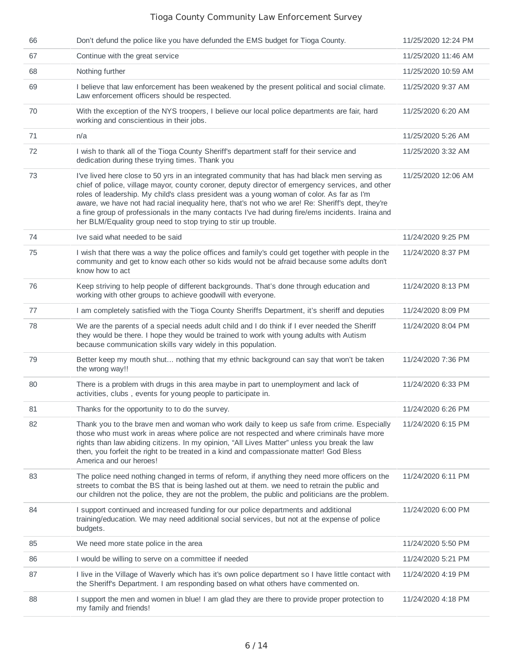| 66 | Don't defund the police like you have defunded the EMS budget for Tioga County.                                                                                                                                                                                                                                                                                                                                                                                                                                                                                           | 11/25/2020 12:24 PM |
|----|---------------------------------------------------------------------------------------------------------------------------------------------------------------------------------------------------------------------------------------------------------------------------------------------------------------------------------------------------------------------------------------------------------------------------------------------------------------------------------------------------------------------------------------------------------------------------|---------------------|
| 67 | Continue with the great service                                                                                                                                                                                                                                                                                                                                                                                                                                                                                                                                           | 11/25/2020 11:46 AM |
| 68 | Nothing further                                                                                                                                                                                                                                                                                                                                                                                                                                                                                                                                                           | 11/25/2020 10:59 AM |
| 69 | I believe that law enforcement has been weakened by the present political and social climate.<br>Law enforcement officers should be respected.                                                                                                                                                                                                                                                                                                                                                                                                                            | 11/25/2020 9:37 AM  |
| 70 | With the exception of the NYS troopers, I believe our local police departments are fair, hard<br>working and conscientious in their jobs.                                                                                                                                                                                                                                                                                                                                                                                                                                 | 11/25/2020 6:20 AM  |
| 71 | n/a                                                                                                                                                                                                                                                                                                                                                                                                                                                                                                                                                                       | 11/25/2020 5:26 AM  |
| 72 | I wish to thank all of the Tioga County Sheriff's department staff for their service and<br>dedication during these trying times. Thank you                                                                                                                                                                                                                                                                                                                                                                                                                               | 11/25/2020 3:32 AM  |
| 73 | I've lived here close to 50 yrs in an integrated community that has had black men serving as<br>chief of police, village mayor, county coroner, deputy director of emergency services, and other<br>roles of leadership. My child's class president was a young woman of color. As far as I'm<br>aware, we have not had racial inequality here, that's not who we are! Re: Sheriff's dept, they're<br>a fine group of professionals in the many contacts I've had during fire/ems incidents. Iraina and<br>her BLM/Equality group need to stop trying to stir up trouble. | 11/25/2020 12:06 AM |
| 74 | Ive said what needed to be said                                                                                                                                                                                                                                                                                                                                                                                                                                                                                                                                           | 11/24/2020 9:25 PM  |
| 75 | I wish that there was a way the police offices and family's could get together with people in the<br>community and get to know each other so kids would not be afraid because some adults don't<br>know how to act                                                                                                                                                                                                                                                                                                                                                        | 11/24/2020 8:37 PM  |
| 76 | Keep striving to help people of different backgrounds. That's done through education and<br>working with other groups to achieve goodwill with everyone.                                                                                                                                                                                                                                                                                                                                                                                                                  | 11/24/2020 8:13 PM  |
| 77 | I am completely satisfied with the Tioga County Sheriffs Department, it's sheriff and deputies                                                                                                                                                                                                                                                                                                                                                                                                                                                                            | 11/24/2020 8:09 PM  |
| 78 | We are the parents of a special needs adult child and I do think if I ever needed the Sheriff<br>they would be there. I hope they would be trained to work with young adults with Autism<br>because communication skills vary widely in this population.                                                                                                                                                                                                                                                                                                                  | 11/24/2020 8:04 PM  |
| 79 | Better keep my mouth shut nothing that my ethnic background can say that won't be taken<br>the wrong way!!                                                                                                                                                                                                                                                                                                                                                                                                                                                                | 11/24/2020 7:36 PM  |
| 80 | There is a problem with drugs in this area maybe in part to unemployment and lack of<br>activities, clubs, events for young people to participate in.                                                                                                                                                                                                                                                                                                                                                                                                                     | 11/24/2020 6:33 PM  |
| 81 | Thanks for the opportunity to to do the survey.                                                                                                                                                                                                                                                                                                                                                                                                                                                                                                                           | 11/24/2020 6:26 PM  |
| 82 | Thank you to the brave men and woman who work daily to keep us safe from crime. Especially<br>those who must work in areas where police are not respected and where criminals have more<br>rights than law abiding citizens. In my opinion, "All Lives Matter" unless you break the law<br>then, you forfeit the right to be treated in a kind and compassionate matter! God Bless<br>America and our heroes!                                                                                                                                                             | 11/24/2020 6:15 PM  |
| 83 | The police need nothing changed in terms of reform, if anything they need more officers on the<br>streets to combat the BS that is being lashed out at them. we need to retrain the public and<br>our children not the police, they are not the problem, the public and politicians are the problem.                                                                                                                                                                                                                                                                      | 11/24/2020 6:11 PM  |
| 84 | I support continued and increased funding for our police departments and additional<br>training/education. We may need additional social services, but not at the expense of police<br>budgets.                                                                                                                                                                                                                                                                                                                                                                           | 11/24/2020 6:00 PM  |
| 85 | We need more state police in the area                                                                                                                                                                                                                                                                                                                                                                                                                                                                                                                                     | 11/24/2020 5:50 PM  |
| 86 | I would be willing to serve on a committee if needed                                                                                                                                                                                                                                                                                                                                                                                                                                                                                                                      | 11/24/2020 5:21 PM  |
| 87 | I live in the Village of Waverly which has it's own police department so I have little contact with<br>the Sheriff's Department. I am responding based on what others have commented on.                                                                                                                                                                                                                                                                                                                                                                                  | 11/24/2020 4:19 PM  |
| 88 | I support the men and women in blue! I am glad they are there to provide proper protection to<br>my family and friends!                                                                                                                                                                                                                                                                                                                                                                                                                                                   | 11/24/2020 4:18 PM  |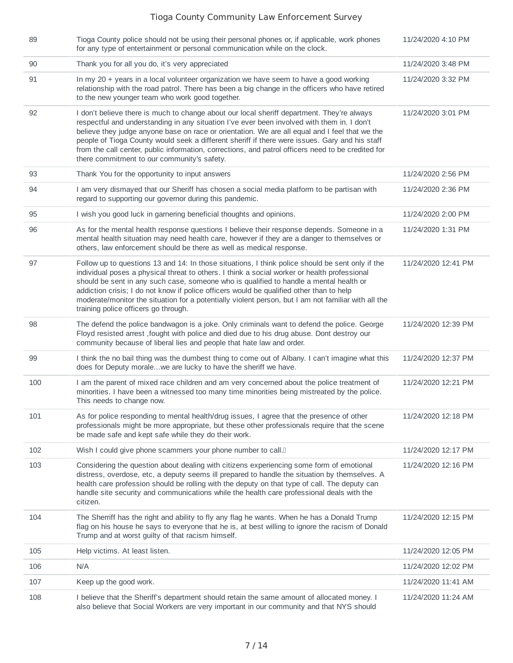| 89  | Tioga County police should not be using their personal phones or, if applicable, work phones<br>for any type of entertainment or personal communication while on the clock.                                                                                                                                                                                                                                                                                                                                                                        | 11/24/2020 4:10 PM  |
|-----|----------------------------------------------------------------------------------------------------------------------------------------------------------------------------------------------------------------------------------------------------------------------------------------------------------------------------------------------------------------------------------------------------------------------------------------------------------------------------------------------------------------------------------------------------|---------------------|
| 90  | Thank you for all you do, it's very appreciated                                                                                                                                                                                                                                                                                                                                                                                                                                                                                                    | 11/24/2020 3:48 PM  |
| 91  | In my $20 +$ years in a local volunteer organization we have seem to have a good working<br>relationship with the road patrol. There has been a big change in the officers who have retired<br>to the new younger team who work good together.                                                                                                                                                                                                                                                                                                     | 11/24/2020 3:32 PM  |
| 92  | I don't believe there is much to change about our local sheriff department. They're always<br>respectful and understanding in any situation I've ever been involved with them in. I don't<br>believe they judge anyone base on race or orientation. We are all equal and I feel that we the<br>people of Tioga County would seek a different sheriff if there were issues. Gary and his staff<br>from the call center, public information, corrections, and patrol officers need to be credited for<br>there commitment to our community's safety. | 11/24/2020 3:01 PM  |
| 93  | Thank You for the opportunity to input answers                                                                                                                                                                                                                                                                                                                                                                                                                                                                                                     | 11/24/2020 2:56 PM  |
| 94  | I am very dismayed that our Sheriff has chosen a social media platform to be partisan with<br>regard to supporting our governor during this pandemic.                                                                                                                                                                                                                                                                                                                                                                                              | 11/24/2020 2:36 PM  |
| 95  | I wish you good luck in garnering beneficial thoughts and opinions.                                                                                                                                                                                                                                                                                                                                                                                                                                                                                | 11/24/2020 2:00 PM  |
| 96  | As for the mental health response questions I believe their response depends. Someone in a<br>mental health situation may need health care, however if they are a danger to themselves or<br>others, law enforcement should be there as well as medical response.                                                                                                                                                                                                                                                                                  | 11/24/2020 1:31 PM  |
| 97  | Follow up to questions 13 and 14: In those situations, I think police should be sent only if the<br>individual poses a physical threat to others. I think a social worker or health professional<br>should be sent in any such case, someone who is qualified to handle a mental health or<br>addiction crisis; I do not know if police officers would be qualified other than to help<br>moderate/monitor the situation for a potentially violent person, but I am not familiar with all the<br>training police officers go through.              | 11/24/2020 12:41 PM |
| 98  | The defend the police bandwagon is a joke. Only criminals want to defend the police. George<br>Floyd resisted arrest , fought with police and died due to his drug abuse. Dont destroy our<br>community because of liberal lies and people that hate law and order.                                                                                                                                                                                                                                                                                | 11/24/2020 12:39 PM |
| 99  | I think the no bail thing was the dumbest thing to come out of Albany. I can't imagine what this<br>does for Deputy moralewe are lucky to have the sheriff we have.                                                                                                                                                                                                                                                                                                                                                                                | 11/24/2020 12:37 PM |
| 100 | I am the parent of mixed race children and am very concerned about the police treatment of<br>minorities. I have been a witnessed too many time minorities being mistreated by the police.<br>This needs to change now.                                                                                                                                                                                                                                                                                                                            | 11/24/2020 12:21 PM |
| 101 | As for police responding to mental health/drug issues, I agree that the presence of other<br>professionals might be more appropriate, but these other professionals require that the scene<br>be made safe and kept safe while they do their work.                                                                                                                                                                                                                                                                                                 | 11/24/2020 12:18 PM |
| 102 | Wish I could give phone scammers your phone number to call. <sup>[]</sup>                                                                                                                                                                                                                                                                                                                                                                                                                                                                          | 11/24/2020 12:17 PM |
| 103 | Considering the question about dealing with citizens experiencing some form of emotional<br>distress, overdose, etc, a deputy seems ill prepared to handle the situation by themselves. A<br>health care profession should be rolling with the deputy on that type of call. The deputy can<br>handle site security and communications while the health care professional deals with the<br>citizen.                                                                                                                                                | 11/24/2020 12:16 PM |
| 104 | The Sherriff has the right and ability to fly any flag he wants. When he has a Donald Trump<br>flag on his house he says to everyone that he is, at best willing to ignore the racism of Donald<br>Trump and at worst guilty of that racism himself.                                                                                                                                                                                                                                                                                               | 11/24/2020 12:15 PM |
| 105 | Help victims. At least listen.                                                                                                                                                                                                                                                                                                                                                                                                                                                                                                                     | 11/24/2020 12:05 PM |
| 106 | N/A                                                                                                                                                                                                                                                                                                                                                                                                                                                                                                                                                | 11/24/2020 12:02 PM |
| 107 | Keep up the good work.                                                                                                                                                                                                                                                                                                                                                                                                                                                                                                                             | 11/24/2020 11:41 AM |
| 108 | I believe that the Sheriff's department should retain the same amount of allocated money. I<br>also believe that Social Workers are very important in our community and that NYS should                                                                                                                                                                                                                                                                                                                                                            | 11/24/2020 11:24 AM |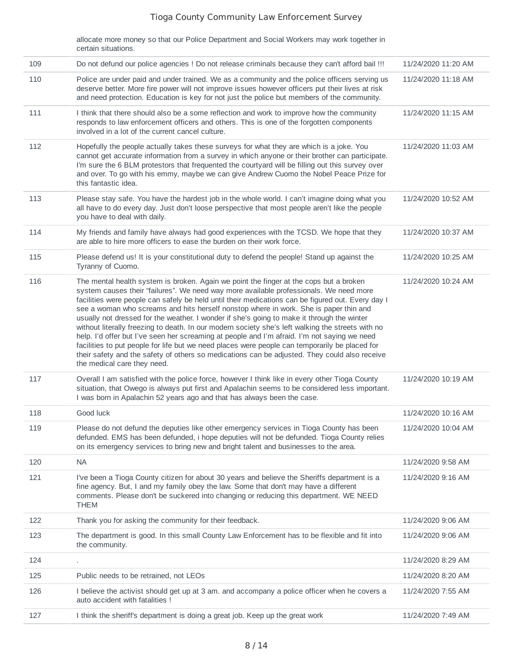allocate more money so that our Police Department and Social Workers may work together in certain situations.

| 109 | Do not defund our police agencies ! Do not release criminals because they can't afford bail !!!                                                                                                                                                                                                                                                                                                                                                                                                                                                                                                                                                                                                                                                                                                                                                                                                                     | 11/24/2020 11:20 AM |
|-----|---------------------------------------------------------------------------------------------------------------------------------------------------------------------------------------------------------------------------------------------------------------------------------------------------------------------------------------------------------------------------------------------------------------------------------------------------------------------------------------------------------------------------------------------------------------------------------------------------------------------------------------------------------------------------------------------------------------------------------------------------------------------------------------------------------------------------------------------------------------------------------------------------------------------|---------------------|
| 110 | Police are under paid and under trained. We as a community and the police officers serving us<br>deserve better. More fire power will not improve issues however officers put their lives at risk<br>and need protection. Education is key for not just the police but members of the community.                                                                                                                                                                                                                                                                                                                                                                                                                                                                                                                                                                                                                    | 11/24/2020 11:18 AM |
| 111 | I think that there should also be a some reflection and work to improve how the community<br>responds to law enforcement officers and others. This is one of the forgotten components<br>involved in a lot of the current cancel culture.                                                                                                                                                                                                                                                                                                                                                                                                                                                                                                                                                                                                                                                                           | 11/24/2020 11:15 AM |
| 112 | Hopefully the people actually takes these surveys for what they are which is a joke. You<br>cannot get accurate information from a survey in which anyone or their brother can participate.<br>I'm sure the 6 BLM protestors that frequented the courtyard will be filling out this survey over<br>and over. To go with his emmy, maybe we can give Andrew Cuomo the Nobel Peace Prize for<br>this fantastic idea.                                                                                                                                                                                                                                                                                                                                                                                                                                                                                                  | 11/24/2020 11:03 AM |
| 113 | Please stay safe. You have the hardest job in the whole world. I can't imagine doing what you<br>all have to do every day. Just don't loose perspective that most people aren't like the people<br>you have to deal with daily.                                                                                                                                                                                                                                                                                                                                                                                                                                                                                                                                                                                                                                                                                     | 11/24/2020 10:52 AM |
| 114 | My friends and family have always had good experiences with the TCSD. We hope that they<br>are able to hire more officers to ease the burden on their work force.                                                                                                                                                                                                                                                                                                                                                                                                                                                                                                                                                                                                                                                                                                                                                   | 11/24/2020 10:37 AM |
| 115 | Please defend us! It is your constitutional duty to defend the people! Stand up against the<br>Tyranny of Cuomo.                                                                                                                                                                                                                                                                                                                                                                                                                                                                                                                                                                                                                                                                                                                                                                                                    | 11/24/2020 10:25 AM |
| 116 | The mental health system is broken. Again we point the finger at the cops but a broken<br>system causes their "failures". We need way more available professionals. We need more<br>facilities were people can safely be held until their medications can be figured out. Every day I<br>see a woman who screams and hits herself nonstop where in work. She is paper thin and<br>usually not dressed for the weather. I wonder if she's going to make it through the winter<br>without literally freezing to death. In our modern society she's left walking the streets with no<br>help. I'd offer but I've seen her screaming at people and I'm afraid. I'm not saying we need<br>facilities to put people for life but we need places were people can temporarily be placed for<br>their safety and the safety of others so medications can be adjusted. They could also receive<br>the medical care they need. | 11/24/2020 10:24 AM |
| 117 | Overall I am satisfied with the police force, however I think like in every other Tioga County<br>situation, that Owego is always put first and Apalachin seems to be considered less important.<br>I was born in Apalachin 52 years ago and that has always been the case.                                                                                                                                                                                                                                                                                                                                                                                                                                                                                                                                                                                                                                         | 11/24/2020 10:19 AM |
| 118 | Good luck                                                                                                                                                                                                                                                                                                                                                                                                                                                                                                                                                                                                                                                                                                                                                                                                                                                                                                           | 11/24/2020 10:16 AM |
| 119 | Please do not defund the deputies like other emergency services in Tioga County has been<br>defunded. EMS has been defunded, i hope deputies will not be defunded. Tioga County relies<br>on its emergency services to bring new and bright talent and businesses to the area.                                                                                                                                                                                                                                                                                                                                                                                                                                                                                                                                                                                                                                      | 11/24/2020 10:04 AM |
| 120 | <b>NA</b>                                                                                                                                                                                                                                                                                                                                                                                                                                                                                                                                                                                                                                                                                                                                                                                                                                                                                                           | 11/24/2020 9:58 AM  |
| 121 | I've been a Tioga County citizen for about 30 years and believe the Sheriffs department is a<br>fine agency. But, I and my family obey the law. Some that don't may have a different<br>comments. Please don't be suckered into changing or reducing this department. WE NEED<br><b>THEM</b>                                                                                                                                                                                                                                                                                                                                                                                                                                                                                                                                                                                                                        | 11/24/2020 9:16 AM  |
| 122 | Thank you for asking the community for their feedback.                                                                                                                                                                                                                                                                                                                                                                                                                                                                                                                                                                                                                                                                                                                                                                                                                                                              | 11/24/2020 9:06 AM  |
| 123 | The department is good. In this small County Law Enforcement has to be flexible and fit into<br>the community.                                                                                                                                                                                                                                                                                                                                                                                                                                                                                                                                                                                                                                                                                                                                                                                                      | 11/24/2020 9:06 AM  |
| 124 |                                                                                                                                                                                                                                                                                                                                                                                                                                                                                                                                                                                                                                                                                                                                                                                                                                                                                                                     | 11/24/2020 8:29 AM  |
| 125 | Public needs to be retrained, not LEOs                                                                                                                                                                                                                                                                                                                                                                                                                                                                                                                                                                                                                                                                                                                                                                                                                                                                              | 11/24/2020 8:20 AM  |
| 126 | I believe the activist should get up at 3 am. and accompany a police officer when he covers a<br>auto accident with fatalities !                                                                                                                                                                                                                                                                                                                                                                                                                                                                                                                                                                                                                                                                                                                                                                                    | 11/24/2020 7:55 AM  |
| 127 | I think the sheriff's department is doing a great job. Keep up the great work                                                                                                                                                                                                                                                                                                                                                                                                                                                                                                                                                                                                                                                                                                                                                                                                                                       | 11/24/2020 7:49 AM  |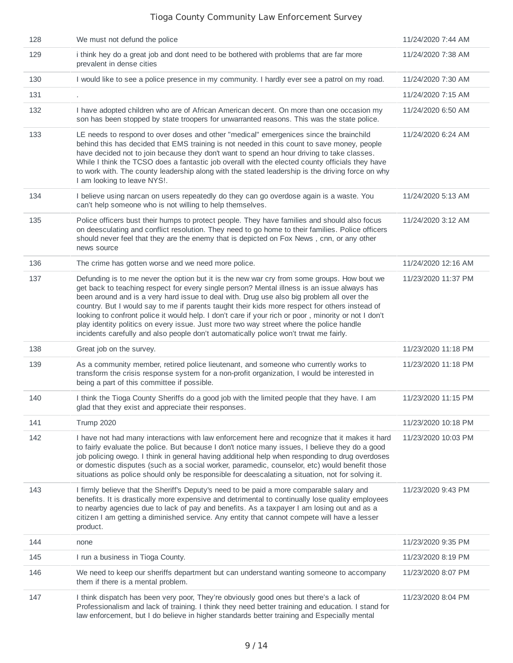| 128 | We must not defund the police                                                                                                                                                                                                                                                                                                                                                                                                                                                                                                                                                                                                                                                         | 11/24/2020 7:44 AM  |
|-----|---------------------------------------------------------------------------------------------------------------------------------------------------------------------------------------------------------------------------------------------------------------------------------------------------------------------------------------------------------------------------------------------------------------------------------------------------------------------------------------------------------------------------------------------------------------------------------------------------------------------------------------------------------------------------------------|---------------------|
| 129 | i think hey do a great job and dont need to be bothered with problems that are far more<br>prevalent in dense cities                                                                                                                                                                                                                                                                                                                                                                                                                                                                                                                                                                  | 11/24/2020 7:38 AM  |
| 130 | I would like to see a police presence in my community. I hardly ever see a patrol on my road.                                                                                                                                                                                                                                                                                                                                                                                                                                                                                                                                                                                         | 11/24/2020 7:30 AM  |
| 131 | ٠                                                                                                                                                                                                                                                                                                                                                                                                                                                                                                                                                                                                                                                                                     | 11/24/2020 7:15 AM  |
| 132 | I have adopted children who are of African American decent. On more than one occasion my<br>son has been stopped by state troopers for unwarranted reasons. This was the state police.                                                                                                                                                                                                                                                                                                                                                                                                                                                                                                | 11/24/2020 6:50 AM  |
| 133 | LE needs to respond to over doses and other "medical" emergenices since the brainchild<br>behind this has decided that EMS training is not needed in this count to save money, people<br>have decided not to join because they don't want to spend an hour driving to take classes.<br>While I think the TCSO does a fantastic job overall with the elected county officials they have<br>to work with. The county leadership along with the stated leadership is the driving force on why<br>I am looking to leave NYS!.                                                                                                                                                             | 11/24/2020 6:24 AM  |
| 134 | I believe using narcan on users repeatedly do they can go overdose again is a waste. You<br>can't help someone who is not willing to help themselves.                                                                                                                                                                                                                                                                                                                                                                                                                                                                                                                                 | 11/24/2020 5:13 AM  |
| 135 | Police officers bust their humps to protect people. They have families and should also focus<br>on deesculating and conflict resolution. They need to go home to their families. Police officers<br>should never feel that they are the enemy that is depicted on Fox News, cnn, or any other<br>news source                                                                                                                                                                                                                                                                                                                                                                          | 11/24/2020 3:12 AM  |
| 136 | The crime has gotten worse and we need more police.                                                                                                                                                                                                                                                                                                                                                                                                                                                                                                                                                                                                                                   | 11/24/2020 12:16 AM |
| 137 | Defunding is to me never the option but it is the new war cry from some groups. How bout we<br>get back to teaching respect for every single person? Mental illness is an issue always has<br>been around and is a very hard issue to deal with. Drug use also big problem all over the<br>country. But I would say to me if parents taught their kids more respect for others instead of<br>looking to confront police it would help. I don't care if your rich or poor, minority or not I don't<br>play identity politics on every issue. Just more two way street where the police handle<br>incidents carefully and also people don't automatically police won't trwat me fairly. | 11/23/2020 11:37 PM |
| 138 | Great job on the survey.                                                                                                                                                                                                                                                                                                                                                                                                                                                                                                                                                                                                                                                              | 11/23/2020 11:18 PM |
| 139 | As a community member, retired police lieutenant, and someone who currently works to<br>transform the crisis response system for a non-profit organization, I would be interested in<br>being a part of this committee if possible.                                                                                                                                                                                                                                                                                                                                                                                                                                                   | 11/23/2020 11:18 PM |
| 140 | I think the Tioga County Sheriffs do a good job with the limited people that they have. I am<br>glad that they exist and appreciate their responses.                                                                                                                                                                                                                                                                                                                                                                                                                                                                                                                                  | 11/23/2020 11:15 PM |
| 141 | <b>Trump 2020</b>                                                                                                                                                                                                                                                                                                                                                                                                                                                                                                                                                                                                                                                                     | 11/23/2020 10:18 PM |
| 142 | I have not had many interactions with law enforcement here and recognize that it makes it hard<br>to fairly evaluate the police. But because I don't notice many issues, I believe they do a good<br>job policing owego. I think in general having additional help when responding to drug overdoses<br>or domestic disputes (such as a social worker, paramedic, counselor, etc) would benefit those<br>situations as police should only be responsible for deescalating a situation, not for solving it.                                                                                                                                                                            | 11/23/2020 10:03 PM |
| 143 | I firmly believe that the Sheriff's Deputy's need to be paid a more comparable salary and<br>benefits. It is drastically more expensive and detrimental to continually lose quality employees<br>to nearby agencies due to lack of pay and benefits. As a taxpayer I am losing out and as a<br>citizen I am getting a diminished service. Any entity that cannot compete will have a lesser<br>product.                                                                                                                                                                                                                                                                               | 11/23/2020 9:43 PM  |
| 144 | none                                                                                                                                                                                                                                                                                                                                                                                                                                                                                                                                                                                                                                                                                  | 11/23/2020 9:35 PM  |
| 145 | I run a business in Tioga County.                                                                                                                                                                                                                                                                                                                                                                                                                                                                                                                                                                                                                                                     | 11/23/2020 8:19 PM  |
| 146 | We need to keep our sheriffs department but can understand wanting someone to accompany<br>them if there is a mental problem.                                                                                                                                                                                                                                                                                                                                                                                                                                                                                                                                                         | 11/23/2020 8:07 PM  |
| 147 | I think dispatch has been very poor, They're obviously good ones but there's a lack of<br>Professionalism and lack of training. I think they need better training and education. I stand for<br>law enforcement, but I do believe in higher standards better training and Especially mental                                                                                                                                                                                                                                                                                                                                                                                           | 11/23/2020 8:04 PM  |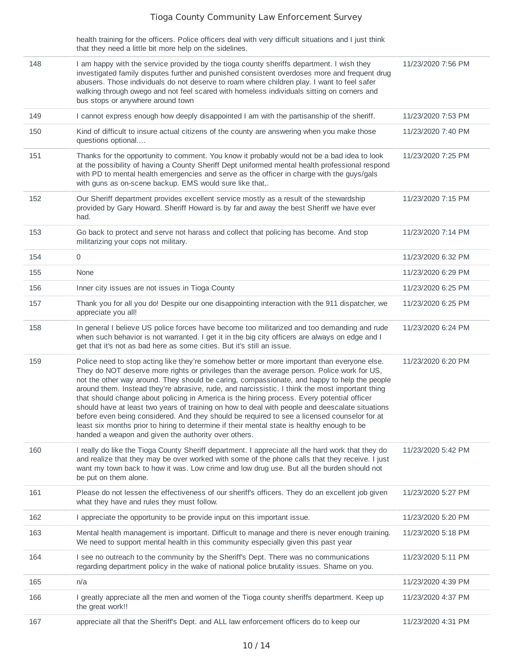health training for the officers. Police officers deal with very difficult situations and I just think that they need a little bit more help on the sidelines.

| 148 | I am happy with the service provided by the tioga county sheriffs department. I wish they<br>investigated family disputes further and punished consistent overdoses more and frequent drug<br>abusers. Those individuals do not deserve to roam where children play. I want to feel safer<br>walking through owego and not feel scared with homeless individuals sitting on corners and<br>bus stops or anywhere around town                                                                                                                                                                                                                                                                                                                                                                                                                           | 11/23/2020 7:56 PM |
|-----|--------------------------------------------------------------------------------------------------------------------------------------------------------------------------------------------------------------------------------------------------------------------------------------------------------------------------------------------------------------------------------------------------------------------------------------------------------------------------------------------------------------------------------------------------------------------------------------------------------------------------------------------------------------------------------------------------------------------------------------------------------------------------------------------------------------------------------------------------------|--------------------|
| 149 | I cannot express enough how deeply disappointed I am with the partisanship of the sheriff.                                                                                                                                                                                                                                                                                                                                                                                                                                                                                                                                                                                                                                                                                                                                                             | 11/23/2020 7:53 PM |
| 150 | Kind of difficult to insure actual citizens of the county are answering when you make those<br>questions optional                                                                                                                                                                                                                                                                                                                                                                                                                                                                                                                                                                                                                                                                                                                                      | 11/23/2020 7:40 PM |
| 151 | Thanks for the opportunity to comment. You know it probably would not be a bad idea to look<br>at the possibility of having a County Sheriff Dept uniformed mental health professional respond<br>with PD to mental health emergencies and serve as the officer in charge with the guys/gals<br>with guns as on-scene backup. EMS would sure like that,.                                                                                                                                                                                                                                                                                                                                                                                                                                                                                               | 11/23/2020 7:25 PM |
| 152 | Our Sheriff department provides excellent service mostly as a result of the stewardship<br>provided by Gary Howard. Sheriff Howard is by far and away the best Sheriff we have ever<br>had.                                                                                                                                                                                                                                                                                                                                                                                                                                                                                                                                                                                                                                                            | 11/23/2020 7:15 PM |
| 153 | Go back to protect and serve not harass and collect that policing has become. And stop<br>militarizing your cops not military.                                                                                                                                                                                                                                                                                                                                                                                                                                                                                                                                                                                                                                                                                                                         | 11/23/2020 7:14 PM |
| 154 | 0                                                                                                                                                                                                                                                                                                                                                                                                                                                                                                                                                                                                                                                                                                                                                                                                                                                      | 11/23/2020 6:32 PM |
| 155 | None                                                                                                                                                                                                                                                                                                                                                                                                                                                                                                                                                                                                                                                                                                                                                                                                                                                   | 11/23/2020 6:29 PM |
| 156 | Inner city issues are not issues in Tioga County                                                                                                                                                                                                                                                                                                                                                                                                                                                                                                                                                                                                                                                                                                                                                                                                       | 11/23/2020 6:25 PM |
| 157 | Thank you for all you do! Despite our one disappointing interaction with the 911 dispatcher, we<br>appreciate you all!                                                                                                                                                                                                                                                                                                                                                                                                                                                                                                                                                                                                                                                                                                                                 | 11/23/2020 6:25 PM |
| 158 | In general I believe US police forces have become too militarized and too demanding and rude<br>when such behavior is not warranted. I get it in the big city officers are always on edge and I<br>get that it's not as bad here as some cities. But it's still an issue.                                                                                                                                                                                                                                                                                                                                                                                                                                                                                                                                                                              | 11/23/2020 6:24 PM |
| 159 | Police need to stop acting like they're somehow better or more important than everyone else.<br>They do NOT deserve more rights or privileges than the average person. Police work for US,<br>not the other way around. They should be caring, compassionate, and happy to help the people<br>around them. Instead they're abrasive, rude, and narcissistic. I think the most important thing<br>that should change about policing in America is the hiring process. Every potential officer<br>should have at least two years of training on how to deal with people and deescalate situations<br>before even being considered. And they should be required to see a licensed counselor for at<br>least six months prior to hiring to determine if their mental state is healthy enough to be<br>handed a weapon and given the authority over others. | 11/23/2020 6:20 PM |
| 160 | I really do like the Tioga County Sheriff department. I appreciate all the hard work that they do<br>and realize that they may be over worked with some of the phone calls that they receive. I just<br>want my town back to how it was. Low crime and low drug use. But all the burden should not<br>be put on them alone.                                                                                                                                                                                                                                                                                                                                                                                                                                                                                                                            | 11/23/2020 5:42 PM |
| 161 | Please do not lessen the effectiveness of our sheriff's officers. They do an excellent job given<br>what they have and rules they must follow.                                                                                                                                                                                                                                                                                                                                                                                                                                                                                                                                                                                                                                                                                                         | 11/23/2020 5:27 PM |
| 162 | I appreciate the opportunity to be provide input on this important issue.                                                                                                                                                                                                                                                                                                                                                                                                                                                                                                                                                                                                                                                                                                                                                                              | 11/23/2020 5:20 PM |
| 163 | Mental health management is important. Difficult to manage and there is never enough training.<br>We need to support mental health in this community especially given this past year                                                                                                                                                                                                                                                                                                                                                                                                                                                                                                                                                                                                                                                                   | 11/23/2020 5:18 PM |
| 164 | I see no outreach to the community by the Sheriff's Dept. There was no communications<br>regarding department policy in the wake of national police brutality issues. Shame on you.                                                                                                                                                                                                                                                                                                                                                                                                                                                                                                                                                                                                                                                                    | 11/23/2020 5:11 PM |
| 165 | n/a                                                                                                                                                                                                                                                                                                                                                                                                                                                                                                                                                                                                                                                                                                                                                                                                                                                    | 11/23/2020 4:39 PM |
| 166 | I greatly appreciate all the men and women of the Tioga county sheriffs department. Keep up<br>the great work!!                                                                                                                                                                                                                                                                                                                                                                                                                                                                                                                                                                                                                                                                                                                                        | 11/23/2020 4:37 PM |
| 167 | appreciate all that the Sheriff's Dept. and ALL law enforcement officers do to keep our                                                                                                                                                                                                                                                                                                                                                                                                                                                                                                                                                                                                                                                                                                                                                                | 11/23/2020 4:31 PM |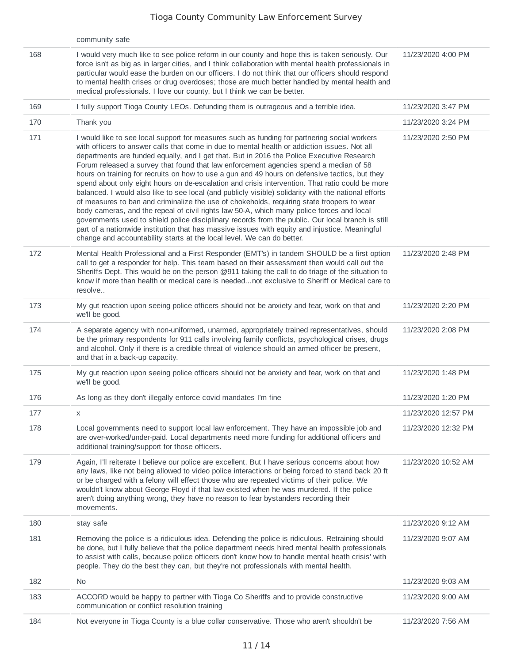|     | community safe                                                                                                                                                                                                                                                                                                                                                                                                                                                                                                                                                                                                                                                                                                                                                                                                                                                                                                                                                                                                                                                                                                                                                              |                     |
|-----|-----------------------------------------------------------------------------------------------------------------------------------------------------------------------------------------------------------------------------------------------------------------------------------------------------------------------------------------------------------------------------------------------------------------------------------------------------------------------------------------------------------------------------------------------------------------------------------------------------------------------------------------------------------------------------------------------------------------------------------------------------------------------------------------------------------------------------------------------------------------------------------------------------------------------------------------------------------------------------------------------------------------------------------------------------------------------------------------------------------------------------------------------------------------------------|---------------------|
| 168 | I would very much like to see police reform in our county and hope this is taken seriously. Our<br>force isn't as big as in larger cities, and I think collaboration with mental health professionals in<br>particular would ease the burden on our officers. I do not think that our officers should respond<br>to mental health crises or drug overdoses; those are much better handled by mental health and<br>medical professionals. I love our county, but I think we can be better.                                                                                                                                                                                                                                                                                                                                                                                                                                                                                                                                                                                                                                                                                   | 11/23/2020 4:00 PM  |
| 169 | I fully support Tioga County LEOs. Defunding them is outrageous and a terrible idea.                                                                                                                                                                                                                                                                                                                                                                                                                                                                                                                                                                                                                                                                                                                                                                                                                                                                                                                                                                                                                                                                                        | 11/23/2020 3:47 PM  |
| 170 | Thank you                                                                                                                                                                                                                                                                                                                                                                                                                                                                                                                                                                                                                                                                                                                                                                                                                                                                                                                                                                                                                                                                                                                                                                   | 11/23/2020 3:24 PM  |
| 171 | I would like to see local support for measures such as funding for partnering social workers<br>with officers to answer calls that come in due to mental health or addiction issues. Not all<br>departments are funded equally, and I get that. But in 2016 the Police Executive Research<br>Forum released a survey that found that law enforcement agencies spend a median of 58<br>hours on training for recruits on how to use a gun and 49 hours on defensive tactics, but they<br>spend about only eight hours on de-escalation and crisis intervention. That ratio could be more<br>balanced. I would also like to see local (and publicly visible) solidarity with the national efforts<br>of measures to ban and criminalize the use of chokeholds, requiring state troopers to wear<br>body cameras, and the repeal of civil rights law 50-A, which many police forces and local<br>governments used to shield police disciplinary records from the public. Our local branch is still<br>part of a nationwide institution that has massive issues with equity and injustice. Meaningful<br>change and accountability starts at the local level. We can do better. | 11/23/2020 2:50 PM  |
| 172 | Mental Health Professional and a First Responder (EMT's) in tandem SHOULD be a first option<br>call to get a responder for help. This team based on their assessment then would call out the<br>Sheriffs Dept. This would be on the person @911 taking the call to do triage of the situation to<br>know if more than health or medical care is needednot exclusive to Sheriff or Medical care to<br>resolve                                                                                                                                                                                                                                                                                                                                                                                                                                                                                                                                                                                                                                                                                                                                                                | 11/23/2020 2:48 PM  |
| 173 | My gut reaction upon seeing police officers should not be anxiety and fear, work on that and<br>we'll be good.                                                                                                                                                                                                                                                                                                                                                                                                                                                                                                                                                                                                                                                                                                                                                                                                                                                                                                                                                                                                                                                              | 11/23/2020 2:20 PM  |
| 174 | A separate agency with non-uniformed, unarmed, appropriately trained representatives, should<br>be the primary respondents for 911 calls involving family conflicts, psychological crises, drugs<br>and alcohol. Only if there is a credible threat of violence should an armed officer be present,<br>and that in a back-up capacity.                                                                                                                                                                                                                                                                                                                                                                                                                                                                                                                                                                                                                                                                                                                                                                                                                                      | 11/23/2020 2:08 PM  |
| 175 | My gut reaction upon seeing police officers should not be anxiety and fear, work on that and<br>we'll be good.                                                                                                                                                                                                                                                                                                                                                                                                                                                                                                                                                                                                                                                                                                                                                                                                                                                                                                                                                                                                                                                              | 11/23/2020 1:48 PM  |
| 176 | As long as they don't illegally enforce covid mandates I'm fine                                                                                                                                                                                                                                                                                                                                                                                                                                                                                                                                                                                                                                                                                                                                                                                                                                                                                                                                                                                                                                                                                                             | 11/23/2020 1:20 PM  |
| 177 | X                                                                                                                                                                                                                                                                                                                                                                                                                                                                                                                                                                                                                                                                                                                                                                                                                                                                                                                                                                                                                                                                                                                                                                           | 11/23/2020 12:57 PM |
| 178 | Local governments need to support local law enforcement. They have an impossible job and<br>are over-worked/under-paid. Local departments need more funding for additional officers and<br>additional training/support for those officers.                                                                                                                                                                                                                                                                                                                                                                                                                                                                                                                                                                                                                                                                                                                                                                                                                                                                                                                                  | 11/23/2020 12:32 PM |
| 179 | Again, I'll reiterate I believe our police are excellent. But I have serious concerns about how<br>any laws, like not being allowed to video police interactions or being forced to stand back 20 ft<br>or be charged with a felony will effect those who are repeated victims of their police. We<br>wouldn't know about George Floyd if that law existed when he was murdered. If the police<br>aren't doing anything wrong, they have no reason to fear bystanders recording their<br>movements.                                                                                                                                                                                                                                                                                                                                                                                                                                                                                                                                                                                                                                                                         | 11/23/2020 10:52 AM |
| 180 | stay safe                                                                                                                                                                                                                                                                                                                                                                                                                                                                                                                                                                                                                                                                                                                                                                                                                                                                                                                                                                                                                                                                                                                                                                   | 11/23/2020 9:12 AM  |
| 181 | Removing the police is a ridiculous idea. Defending the police is ridiculous. Retraining should<br>be done, but I fully believe that the police department needs hired mental health professionals<br>to assist with calls, because police officers don't know how to handle mental heath crisis' with<br>people. They do the best they can, but they're not professionals with mental health.                                                                                                                                                                                                                                                                                                                                                                                                                                                                                                                                                                                                                                                                                                                                                                              | 11/23/2020 9:07 AM  |
| 182 | No                                                                                                                                                                                                                                                                                                                                                                                                                                                                                                                                                                                                                                                                                                                                                                                                                                                                                                                                                                                                                                                                                                                                                                          | 11/23/2020 9:03 AM  |
| 183 | ACCORD would be happy to partner with Tioga Co Sheriffs and to provide constructive<br>communication or conflict resolution training                                                                                                                                                                                                                                                                                                                                                                                                                                                                                                                                                                                                                                                                                                                                                                                                                                                                                                                                                                                                                                        | 11/23/2020 9:00 AM  |
| 184 | Not everyone in Tioga County is a blue collar conservative. Those who aren't shouldn't be                                                                                                                                                                                                                                                                                                                                                                                                                                                                                                                                                                                                                                                                                                                                                                                                                                                                                                                                                                                                                                                                                   | 11/23/2020 7:56 AM  |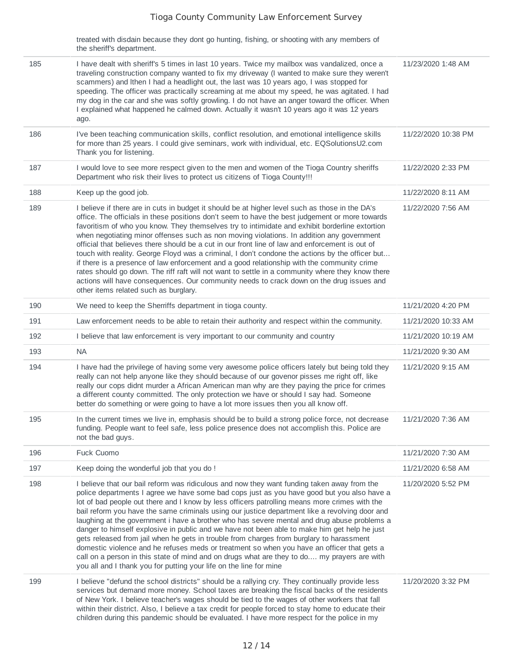|     | treated with disdain because they dont go hunting, fishing, or shooting with any members of<br>the sheriff's department.                                                                                                                                                                                                                                                                                                                                                                                                                                                                                                                                                                                                                                                                                                                                                                                                                                   |                     |
|-----|------------------------------------------------------------------------------------------------------------------------------------------------------------------------------------------------------------------------------------------------------------------------------------------------------------------------------------------------------------------------------------------------------------------------------------------------------------------------------------------------------------------------------------------------------------------------------------------------------------------------------------------------------------------------------------------------------------------------------------------------------------------------------------------------------------------------------------------------------------------------------------------------------------------------------------------------------------|---------------------|
| 185 | I have dealt with sheriff's 5 times in last 10 years. Twice my mailbox was vandalized, once a<br>traveling construction company wanted to fix my driveway (I wanted to make sure they weren't<br>scammers) and Ithen I had a headlight out, the last was 10 years ago, I was stopped for<br>speeding. The officer was practically screaming at me about my speed, he was agitated. I had<br>my dog in the car and she was softly growling. I do not have an anger toward the officer. When<br>I explained what happened he calmed down. Actually it wasn't 10 years ago it was 12 years<br>ago.                                                                                                                                                                                                                                                                                                                                                            | 11/23/2020 1:48 AM  |
| 186 | I've been teaching communication skills, conflict resolution, and emotional intelligence skills<br>for more than 25 years. I could give seminars, work with individual, etc. EQSolutionsU2.com<br>Thank you for listening.                                                                                                                                                                                                                                                                                                                                                                                                                                                                                                                                                                                                                                                                                                                                 | 11/22/2020 10:38 PM |
| 187 | I would love to see more respect given to the men and women of the Tioga Country sheriffs<br>Department who risk their lives to protect us citizens of Tioga County!!!                                                                                                                                                                                                                                                                                                                                                                                                                                                                                                                                                                                                                                                                                                                                                                                     | 11/22/2020 2:33 PM  |
| 188 | Keep up the good job.                                                                                                                                                                                                                                                                                                                                                                                                                                                                                                                                                                                                                                                                                                                                                                                                                                                                                                                                      | 11/22/2020 8:11 AM  |
| 189 | I believe if there are in cuts in budget it should be at higher level such as those in the DA's<br>office. The officials in these positions don't seem to have the best judgement or more towards<br>favoritism of who you know. They themselves try to intimidate and exhibit borderline extortion<br>when negotiating minor offenses such as non moving violations. In addition any government<br>official that believes there should be a cut in our front line of law and enforcement is out of<br>touch with reality. George Floyd was a criminal, I don't condone the actions by the officer but<br>if there is a presence of law enforcement and a good relationship with the community crime<br>rates should go down. The riff raft will not want to settle in a community where they know there<br>actions will have consequences. Our community needs to crack down on the drug issues and<br>other items related such as burglary.              | 11/22/2020 7:56 AM  |
| 190 | We need to keep the Sherriffs department in tioga county.                                                                                                                                                                                                                                                                                                                                                                                                                                                                                                                                                                                                                                                                                                                                                                                                                                                                                                  | 11/21/2020 4:20 PM  |
| 191 | Law enforcement needs to be able to retain their authority and respect within the community.                                                                                                                                                                                                                                                                                                                                                                                                                                                                                                                                                                                                                                                                                                                                                                                                                                                               | 11/21/2020 10:33 AM |
| 192 | I believe that law enforcement is very important to our community and country                                                                                                                                                                                                                                                                                                                                                                                                                                                                                                                                                                                                                                                                                                                                                                                                                                                                              | 11/21/2020 10:19 AM |
| 193 | <b>NA</b>                                                                                                                                                                                                                                                                                                                                                                                                                                                                                                                                                                                                                                                                                                                                                                                                                                                                                                                                                  | 11/21/2020 9:30 AM  |
| 194 | I have had the privilege of having some very awesome police officers lately but being told they<br>really can not help anyone like they should because of our govenor pisses me right off, like<br>really our cops didnt murder a African American man why are they paying the price for crimes<br>a different county committed. The only protection we have or should I say had. Someone<br>better do something or were going to have a lot more issues then you all know off.                                                                                                                                                                                                                                                                                                                                                                                                                                                                            | 11/21/2020 9:15 AM  |
| 195 | In the current times we live in, emphasis should be to build a strong police force, not decrease<br>funding. People want to feel safe, less police presence does not accomplish this. Police are<br>not the bad guys.                                                                                                                                                                                                                                                                                                                                                                                                                                                                                                                                                                                                                                                                                                                                      | 11/21/2020 7:36 AM  |
| 196 | Fuck Cuomo                                                                                                                                                                                                                                                                                                                                                                                                                                                                                                                                                                                                                                                                                                                                                                                                                                                                                                                                                 | 11/21/2020 7:30 AM  |
| 197 | Keep doing the wonderful job that you do !                                                                                                                                                                                                                                                                                                                                                                                                                                                                                                                                                                                                                                                                                                                                                                                                                                                                                                                 | 11/21/2020 6:58 AM  |
| 198 | I believe that our bail reform was ridiculous and now they want funding taken away from the<br>police departments I agree we have some bad cops just as you have good but you also have a<br>lot of bad people out there and I know by less officers patrolling means more crimes with the<br>bail reform you have the same criminals using our justice department like a revolving door and<br>laughing at the government i have a brother who has severe mental and drug abuse problems a<br>danger to himself explosive in public and we have not been able to make him get help he just<br>gets released from jail when he gets in trouble from charges from burglary to harassment<br>domestic violence and he refuses meds or treatment so when you have an officer that gets a<br>call on a person in this state of mind and on drugs what are they to do my prayers are with<br>you all and I thank you for putting your life on the line for mine | 11/20/2020 5:52 PM  |
| 199 | I believe "defund the school districts" should be a rallying cry. They continually provide less<br>services but demand more money. School taxes are breaking the fiscal backs of the residents<br>of New York. I believe teacher's wages should be tied to the wages of other workers that fall<br>within their district. Also, I believe a tax credit for people forced to stay home to educate their<br>children during this pandemic should be evaluated. I have more respect for the police in my                                                                                                                                                                                                                                                                                                                                                                                                                                                      | 11/20/2020 3:32 PM  |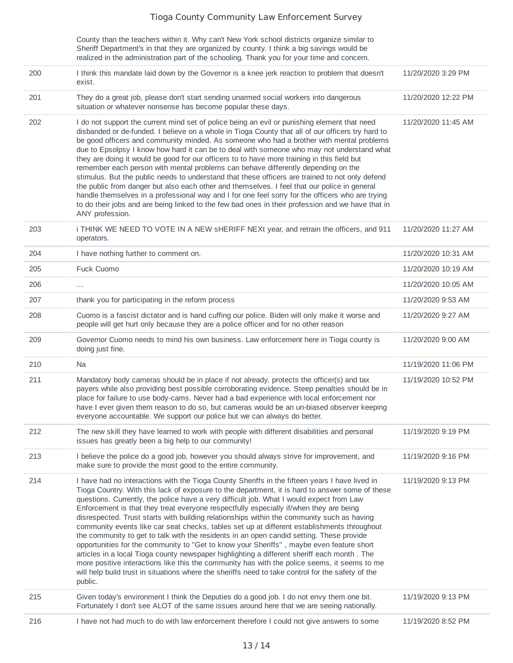|     | County than the teachers within it. Why can't New York school districts organize similar to<br>Sheriff Department's in that they are organized by county. I think a big savings would be<br>realized in the administration part of the schooling. Thank you for your time and concern.                                                                                                                                                                                                                                                                                                                                                                                                                                                                                                                                                                                                                                                                                                                                                                                                      |                     |
|-----|---------------------------------------------------------------------------------------------------------------------------------------------------------------------------------------------------------------------------------------------------------------------------------------------------------------------------------------------------------------------------------------------------------------------------------------------------------------------------------------------------------------------------------------------------------------------------------------------------------------------------------------------------------------------------------------------------------------------------------------------------------------------------------------------------------------------------------------------------------------------------------------------------------------------------------------------------------------------------------------------------------------------------------------------------------------------------------------------|---------------------|
| 200 | I think this mandate laid down by the Governor is a knee jerk reaction to problem that doesn't<br>exist.                                                                                                                                                                                                                                                                                                                                                                                                                                                                                                                                                                                                                                                                                                                                                                                                                                                                                                                                                                                    | 11/20/2020 3:29 PM  |
| 201 | They do a great job, please don't start sending unarmed social workers into dangerous<br>situation or whatever nonsense has become popular these days.                                                                                                                                                                                                                                                                                                                                                                                                                                                                                                                                                                                                                                                                                                                                                                                                                                                                                                                                      | 11/20/2020 12:22 PM |
| 202 | I do not support the current mind set of police being an evil or punishing element that need<br>disbanded or de-funded. I believe on a whole in Tioga County that all of our officers try hard to<br>be good officers and community minded. As someone who had a brother with mental problems<br>due to Epsolpsy I know how hard it can be to deal with someone who may not understand what<br>they are doing it would be good for our officers to to have more training in this field but<br>remember each person with mental problems can behave differently depending on the<br>stimulus. But the public needs to understand that these officers are trained to not only defend<br>the public from danger but also each other and themselves. I feel that our police in general<br>handle themselves in a professional way and I for one feel sorry for the officers who are trying<br>to do their jobs and are being linked to the few bad ones in their profession and we have that in<br>ANY profession.                                                                              | 11/20/2020 11:45 AM |
| 203 | i THINK WE NEED TO VOTE IN A NEW SHERIFF NEXt year, and retrain the officers, and 911<br>operators.                                                                                                                                                                                                                                                                                                                                                                                                                                                                                                                                                                                                                                                                                                                                                                                                                                                                                                                                                                                         | 11/20/2020 11:27 AM |
| 204 | I have nothing further to comment on.                                                                                                                                                                                                                                                                                                                                                                                                                                                                                                                                                                                                                                                                                                                                                                                                                                                                                                                                                                                                                                                       | 11/20/2020 10:31 AM |
| 205 | Fuck Cuomo                                                                                                                                                                                                                                                                                                                                                                                                                                                                                                                                                                                                                                                                                                                                                                                                                                                                                                                                                                                                                                                                                  | 11/20/2020 10:19 AM |
| 206 | $\cdots$                                                                                                                                                                                                                                                                                                                                                                                                                                                                                                                                                                                                                                                                                                                                                                                                                                                                                                                                                                                                                                                                                    | 11/20/2020 10:05 AM |
| 207 | thank you for participating in the reform process                                                                                                                                                                                                                                                                                                                                                                                                                                                                                                                                                                                                                                                                                                                                                                                                                                                                                                                                                                                                                                           | 11/20/2020 9:53 AM  |
| 208 | Cuomo is a fascist dictator and is hand cuffing our police. Biden will only make it worse and<br>people will get hurt only because they are a police officer and for no other reason                                                                                                                                                                                                                                                                                                                                                                                                                                                                                                                                                                                                                                                                                                                                                                                                                                                                                                        | 11/20/2020 9:27 AM  |
| 209 | Governor Cuomo needs to mind his own business. Law enforcement here in Tioga county is<br>doing just fine.                                                                                                                                                                                                                                                                                                                                                                                                                                                                                                                                                                                                                                                                                                                                                                                                                                                                                                                                                                                  | 11/20/2020 9:00 AM  |
| 210 | Na                                                                                                                                                                                                                                                                                                                                                                                                                                                                                                                                                                                                                                                                                                                                                                                                                                                                                                                                                                                                                                                                                          | 11/19/2020 11:06 PM |
| 211 | Mandatory body cameras should be in place if not already, protects the officer(s) and tax<br>payers while also providing best possible corroborating evidence. Steep penalties should be in<br>place for failure to use body-cams. Never had a bad experience with local enforcement nor<br>have I ever given them reason to do so, but cameras would be an un-biased observer keeping<br>everyone accountable. We support our police but we can always do better.                                                                                                                                                                                                                                                                                                                                                                                                                                                                                                                                                                                                                          | 11/19/2020 10:52 PM |
| 212 | The new skill they have learned to work with people with different disabilities and personal<br>issues has greatly been a big help to our community!                                                                                                                                                                                                                                                                                                                                                                                                                                                                                                                                                                                                                                                                                                                                                                                                                                                                                                                                        | 11/19/2020 9:19 PM  |
| 213 | I believe the police do a good job, however you should always strive for improvement, and<br>make sure to provide the most good to the entire community.                                                                                                                                                                                                                                                                                                                                                                                                                                                                                                                                                                                                                                                                                                                                                                                                                                                                                                                                    | 11/19/2020 9:16 PM  |
| 214 | I have had no interactions with the Tioga County Sheriffs in the fifteen years I have lived in<br>Tioga Country. With this lack of exposure to the department, it is hard to answer some of these<br>questions. Currently, the police have a very difficult job. What I would expect from Law<br>Enforcement is that they treat everyone respectfully especially if/when they are being<br>disrespected. Trust starts with building relationships within the community such as having<br>community events like car seat checks, tables set up at different establishments throughout<br>the community to get to talk with the residents in an open candid setting. These provide<br>opportunities for the community to "Get to know your Sheriffs", maybe even feature short<br>articles in a local Tioga county newspaper highlighting a different sheriff each month. The<br>more positive interactions like this the community has with the police seems, it seems to me<br>will help build trust in situations where the sheriffs need to take control for the safety of the<br>public. | 11/19/2020 9:13 PM  |
| 215 | Given today's environment I think the Deputies do a good job. I do not envy them one bit.<br>Fortunately I don't see ALOT of the same issues around here that we are seeing nationally.                                                                                                                                                                                                                                                                                                                                                                                                                                                                                                                                                                                                                                                                                                                                                                                                                                                                                                     | 11/19/2020 9:13 PM  |
| 216 | I have not had much to do with law enforcement therefore I could not give answers to some                                                                                                                                                                                                                                                                                                                                                                                                                                                                                                                                                                                                                                                                                                                                                                                                                                                                                                                                                                                                   | 11/19/2020 8:52 PM  |